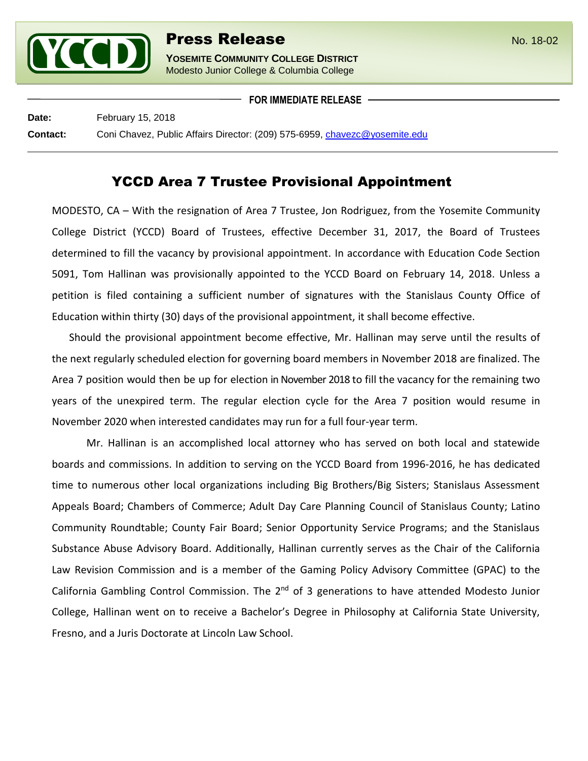

Modesto Junior College & Columbia College

**FOR IMMEDIATE RELEASE**

**Date:** February 15, 2018 **Contact:** Coni Chavez, Public Affairs Director: (209) 575-6959, [chavezc@yosemite.edu](mailto:chavezc@yosemite.edu)

## YCCD Area 7 Trustee Provisional Appointment

MODESTO, CA – With the resignation of Area 7 Trustee, Jon Rodriguez, from the Yosemite Community College District (YCCD) Board of Trustees, effective December 31, 2017, the Board of Trustees determined to fill the vacancy by provisional appointment. In accordance with Education Code Section 5091, Tom Hallinan was provisionally appointed to the YCCD Board on February 14, 2018. Unless a petition is filed containing a sufficient number of signatures with the Stanislaus County Office of Education within thirty (30) days of the provisional appointment, it shall become effective.

Should the provisional appointment become effective, Mr. Hallinan may serve until the results of the next regularly scheduled election for governing board members in November 2018 are finalized. The Area 7 position would then be up for election in November 2018 to fill the vacancy for the remaining two years of the unexpired term. The regular election cycle for the Area 7 position would resume in November 2020 when interested candidates may run for a full four-year term.

Mr. Hallinan is an accomplished local attorney who has served on both local and statewide boards and commissions. In addition to serving on the YCCD Board from 1996-2016, he has dedicated time to numerous other local organizations including Big Brothers/Big Sisters; Stanislaus Assessment Appeals Board; Chambers of Commerce; Adult Day Care Planning Council of Stanislaus County; Latino Community Roundtable; County Fair Board; Senior Opportunity Service Programs; and the Stanislaus Substance Abuse Advisory Board. Additionally, Hallinan currently serves as the Chair of the California Law Revision Commission and is a member of the Gaming Policy Advisory Committee (GPAC) to the California Gambling Control Commission. The 2<sup>nd</sup> of 3 generations to have attended Modesto Junior College, Hallinan went on to receive a Bachelor's Degree in Philosophy at California State University, Fresno, and a Juris Doctorate at Lincoln Law School.